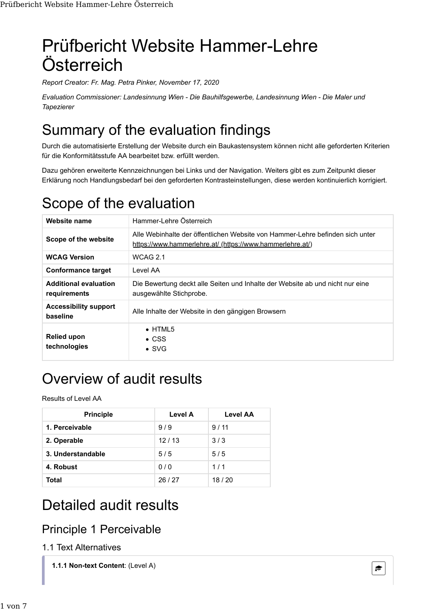# Prüfbericht Website Hammer-Lehre Österreich

*Report Creator: Fr. Mag. Petra Pinker, November 17, 2020*

*Evaluation Commissioner: Landesinnung Wien - Die Bauhilfsgewerbe, Landesinnung Wien - Die Maler und Tapezierer*

## Summary of the evaluation findings

Durch die automatisierte Erstellung der Website durch ein Baukastensystem können nicht alle geforderten Kriterien für die Konformitätsstufe AA bearbeitet bzw. erfüllt werden.

Dazu gehören erweiterte Kennzeichnungen bei Links und der Navigation. Weiters gibt es zum Zeitpunkt dieser Erklärung noch Handlungsbedarf bei den geforderten Kontrasteinstellungen, diese werden kontinuierlich korrigiert.

### Scope of the evaluation

| Website name                                 | Hammer-I ehre Österreich                                                                                                                   |
|----------------------------------------------|--------------------------------------------------------------------------------------------------------------------------------------------|
| Scope of the website                         | Alle Webinhalte der öffentlichen Website von Hammer-Lehre befinden sich unter<br>https://www.hammerlehre.at/ (https://www.hammerlehre.at/) |
| <b>WCAG Version</b>                          | WCAG 2.1                                                                                                                                   |
| <b>Conformance target</b>                    | Level AA                                                                                                                                   |
| <b>Additional evaluation</b><br>requirements | Die Bewertung deckt alle Seiten und Inhalte der Website ab und nicht nur eine<br>ausgewählte Stichprobe.                                   |
| <b>Accessibility support</b><br>baseline     | Alle Inhalte der Website in den gängigen Browsern                                                                                          |
| <b>Relied upon</b><br>technologies           | $\bullet$ HTML5<br>$\bullet$ CSS<br>$\bullet$ SVG                                                                                          |

## Overview of audit results

Results of Level AA

| <b>Principle</b>  | Level A | Level AA |
|-------------------|---------|----------|
| 1. Perceivable    | 9/9     | 9/11     |
| 2. Operable       | 12/13   | 3/3      |
| 3. Understandable | 5/5     | 5/5      |
| 4. Robust         | 0/0     | 1/1      |
| Total             | 26/27   | 18/20    |

### Detailed audit results

### Principle 1 Perceivable

#### 1.1 Text Alternatives

**1.1.1 Non-text Content**: (Level A) **Content** and  $\epsilon$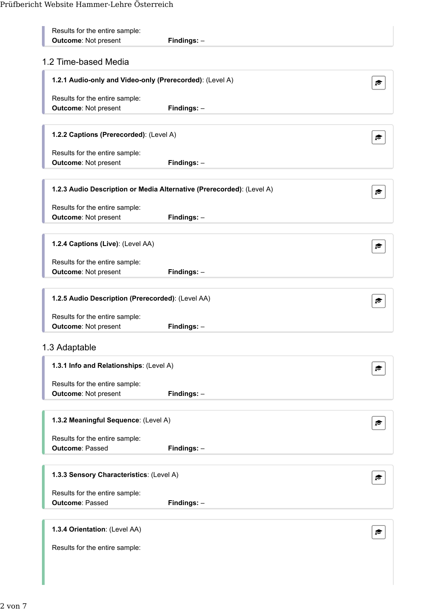| Results for the entire sample:<br><b>Outcome: Not present</b>         | Findings: $-$ |  |
|-----------------------------------------------------------------------|---------------|--|
| 1.2 Time-based Media                                                  |               |  |
| 1.2.1 Audio-only and Video-only (Prerecorded): (Level A)              |               |  |
| Results for the entire sample:<br><b>Outcome: Not present</b>         | Findings: -   |  |
| 1.2.2 Captions (Prerecorded): (Level A)                               |               |  |
| Results for the entire sample:<br><b>Outcome: Not present</b>         | Findings: $-$ |  |
| 1.2.3 Audio Description or Media Alternative (Prerecorded): (Level A) |               |  |
| Results for the entire sample:                                        |               |  |
| <b>Outcome: Not present</b>                                           | Findings: $-$ |  |
| 1.2.4 Captions (Live): (Level AA)                                     |               |  |
| Results for the entire sample:<br><b>Outcome: Not present</b>         | Findings: -   |  |
| 1.2.5 Audio Description (Prerecorded): (Level AA)                     |               |  |
| Results for the entire sample:<br><b>Outcome: Not present</b>         | Findings: $-$ |  |
| 1.3 Adaptable                                                         |               |  |
| 1.3.1 Info and Relationships: (Level A)                               |               |  |
| Results for the entire sample:<br><b>Outcome: Not present</b>         | Findings: $-$ |  |
| 1.3.2 Meaningful Sequence: (Level A)                                  |               |  |
| Results for the entire sample:<br><b>Outcome: Passed</b>              |               |  |
|                                                                       | Findings: -   |  |
| 1.3.3 Sensory Characteristics: (Level A)                              |               |  |
| Results for the entire sample:<br><b>Outcome: Passed</b>              | Findings: -   |  |
| 1.3.4 Orientation: (Level AA)                                         |               |  |
| Results for the entire sample:                                        |               |  |
|                                                                       |               |  |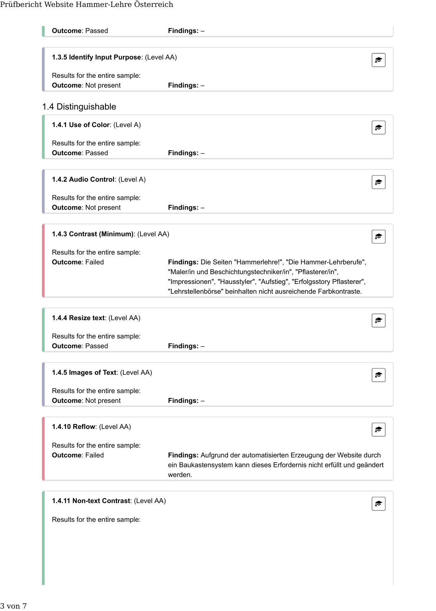| <b>Outcome: Passed</b>                   | Findings: -                                                                       |  |
|------------------------------------------|-----------------------------------------------------------------------------------|--|
| 1.3.5 Identify Input Purpose: (Level AA) |                                                                                   |  |
| Results for the entire sample:           |                                                                                   |  |
| <b>Outcome: Not present</b>              | Findings: -                                                                       |  |
|                                          |                                                                                   |  |
| 1.4 Distinguishable                      |                                                                                   |  |
| 1.4.1 Use of Color: (Level A)            |                                                                                   |  |
| Results for the entire sample:           |                                                                                   |  |
| <b>Outcome: Passed</b>                   | Findings: -                                                                       |  |
|                                          |                                                                                   |  |
| 1.4.2 Audio Control: (Level A)           |                                                                                   |  |
| Results for the entire sample:           |                                                                                   |  |
| <b>Outcome: Not present</b>              | Findings: -                                                                       |  |
|                                          |                                                                                   |  |
| 1.4.3 Contrast (Minimum): (Level AA)     |                                                                                   |  |
| Results for the entire sample:           |                                                                                   |  |
| <b>Outcome: Failed</b>                   | Findings: Die Seiten "Hammerlehre!", "Die Hammer-Lehrberufe",                     |  |
|                                          | "Maler/in und Beschichtungstechniker/in", "Pflasterer/in",                        |  |
|                                          | "Impressionen", "Hausstyler", "Aufstieg", "Erfolgsstory Pflasterer",              |  |
|                                          | "Lehrstellenbörse" beinhalten nicht ausreichende Farbkontraste.                   |  |
|                                          |                                                                                   |  |
| 1.4.4 Resize text: (Level AA)            |                                                                                   |  |
| Results for the entire sample:           |                                                                                   |  |
| <b>Outcome: Passed</b>                   | Findings: -                                                                       |  |
|                                          |                                                                                   |  |
| 1.4.5 Images of Text: (Level AA)         | ☞                                                                                 |  |
| Results for the entire sample:           |                                                                                   |  |
| <b>Outcome: Not present</b>              | Findings: $-$                                                                     |  |
|                                          |                                                                                   |  |
| 1.4.10 Reflow: (Level AA)                | ≂                                                                                 |  |
| Results for the entire sample:           |                                                                                   |  |
| <b>Outcome: Failed</b>                   | Findings: Aufgrund der automatisierten Erzeugung der Website durch                |  |
|                                          | ein Baukastensystem kann dieses Erfordernis nicht erfüllt und geändert<br>werden. |  |
|                                          |                                                                                   |  |
| 1.4.11 Non-text Contrast: (Level AA)     |                                                                                   |  |
|                                          |                                                                                   |  |
| Results for the entire sample:           |                                                                                   |  |
|                                          |                                                                                   |  |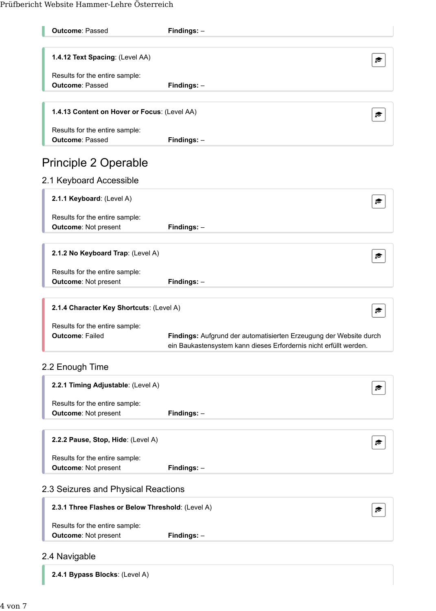| <b>Outcome: Passed</b>                                        | Findings: $-$                                                                                                                           |   |
|---------------------------------------------------------------|-----------------------------------------------------------------------------------------------------------------------------------------|---|
| 1.4.12 Text Spacing: (Level AA)                               |                                                                                                                                         |   |
|                                                               |                                                                                                                                         | ☞ |
| Results for the entire sample:                                |                                                                                                                                         |   |
| <b>Outcome: Passed</b>                                        | Findings: $-$                                                                                                                           |   |
| 1.4.13 Content on Hover or Focus: (Level AA)                  |                                                                                                                                         | ☞ |
| Results for the entire sample:                                |                                                                                                                                         |   |
| <b>Outcome: Passed</b>                                        | Findings: $-$                                                                                                                           |   |
| <b>Principle 2 Operable</b>                                   |                                                                                                                                         |   |
| 2.1 Keyboard Accessible                                       |                                                                                                                                         |   |
| 2.1.1 Keyboard: (Level A)                                     |                                                                                                                                         | ☞ |
| Results for the entire sample:                                |                                                                                                                                         |   |
| <b>Outcome: Not present</b>                                   | Findings: $-$                                                                                                                           |   |
| 2.1.2 No Keyboard Trap: (Level A)                             |                                                                                                                                         |   |
|                                                               |                                                                                                                                         | ☞ |
| Results for the entire sample:<br><b>Outcome: Not present</b> | Findings: $-$                                                                                                                           |   |
|                                                               |                                                                                                                                         |   |
| 2.1.4 Character Key Shortcuts: (Level A)                      |                                                                                                                                         | ☞ |
| Results for the entire sample:                                |                                                                                                                                         |   |
| <b>Outcome: Failed</b>                                        | Findings: Aufgrund der automatisierten Erzeugung der Website durch<br>ein Baukastensystem kann dieses Erfordernis nicht erfüllt werden. |   |
| 2.2 Enough Time                                               |                                                                                                                                         |   |
| 2.2.1 Timing Adjustable: (Level A)                            |                                                                                                                                         | r |
| Results for the entire sample:                                |                                                                                                                                         |   |
| <b>Outcome: Not present</b>                                   | Findings: -                                                                                                                             |   |
|                                                               |                                                                                                                                         |   |
| 2.2.2 Pause, Stop, Hide: (Level A)                            |                                                                                                                                         |   |
| Results for the entire sample:                                |                                                                                                                                         |   |
| <b>Outcome: Not present</b>                                   | Findings: -                                                                                                                             |   |
|                                                               |                                                                                                                                         |   |

#### 2.3 Seizures and Physical Reactions

| 2.3.1 Three Flashes or Below Threshold: (Level A) |               | $\approx$ |
|---------------------------------------------------|---------------|-----------|
| Results for the entire sample:                    |               |           |
| <b>Outcome: Not present</b>                       | $Findings: -$ |           |

#### 2.4 Navigable

**2.4.1 Bypass Blocks**: (Level A)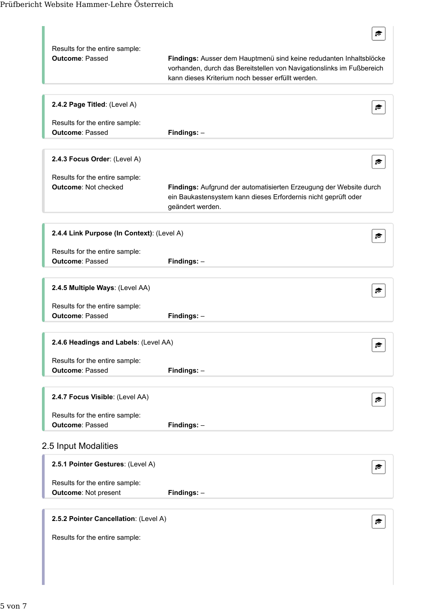| Results for the entire sample:<br><b>Outcome: Passed</b>      | Findings: Ausser dem Hauptmenü sind keine redudanten Inhaltsblöcke<br>vorhanden, durch das Bereitstellen von Navigationslinks im Fußbereich<br>kann dieses Kriterium noch besser erfüllt werden. |
|---------------------------------------------------------------|--------------------------------------------------------------------------------------------------------------------------------------------------------------------------------------------------|
| 2.4.2 Page Titled: (Level A)                                  |                                                                                                                                                                                                  |
| Results for the entire sample:<br><b>Outcome: Passed</b>      | Findings: -                                                                                                                                                                                      |
| 2.4.3 Focus Order: (Level A)                                  | p                                                                                                                                                                                                |
| Results for the entire sample:<br><b>Outcome: Not checked</b> | Findings: Aufgrund der automatisierten Erzeugung der Website durch<br>ein Baukastensystem kann dieses Erfordernis nicht geprüft oder<br>geändert werden.                                         |
| 2.4.4 Link Purpose (In Context): (Level A)                    |                                                                                                                                                                                                  |
| Results for the entire sample:<br><b>Outcome: Passed</b>      | Findings: -                                                                                                                                                                                      |
| 2.4.5 Multiple Ways: (Level AA)                               |                                                                                                                                                                                                  |
| Results for the entire sample:<br><b>Outcome: Passed</b>      | Findings: $-$                                                                                                                                                                                    |
| 2.4.6 Headings and Labels: (Level AA)                         | €                                                                                                                                                                                                |
| Results for the entire sample:<br><b>Outcome: Passed</b>      | Findings: $-$                                                                                                                                                                                    |
| 2.4.7 Focus Visible: (Level AA)                               |                                                                                                                                                                                                  |
| Results for the entire sample:<br><b>Outcome: Passed</b>      | Findings: -                                                                                                                                                                                      |
| 2.5 Input Modalities                                          |                                                                                                                                                                                                  |
| 2.5.1 Pointer Gestures: (Level A)                             |                                                                                                                                                                                                  |
| Results for the entire sample:<br><b>Outcome: Not present</b> | Findings: $-$                                                                                                                                                                                    |
| 2.5.2 Pointer Cancellation: (Level A)                         |                                                                                                                                                                                                  |
| Results for the entire sample:                                |                                                                                                                                                                                                  |
|                                                               |                                                                                                                                                                                                  |
|                                                               |                                                                                                                                                                                                  |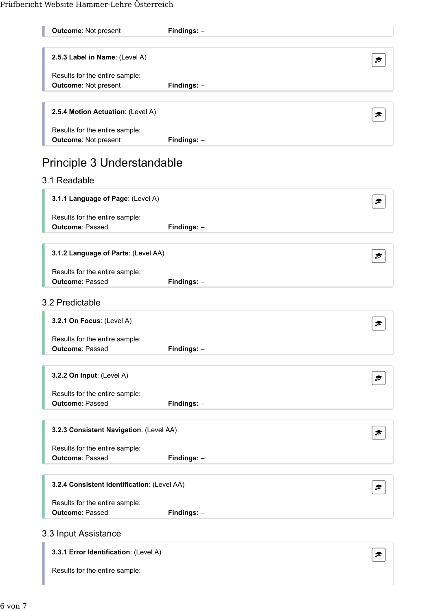| <b>Outcome: Not present</b>                                   | Findings: -   |   |
|---------------------------------------------------------------|---------------|---|
| 2.5.3 Label in Name: (Level A)                                |               | r |
|                                                               |               |   |
| Results for the entire sample:<br><b>Outcome: Not present</b> | Findings: $-$ |   |
|                                                               |               |   |
| 2.5.4 Motion Actuation: (Level A)                             |               | ₹ |
| Results for the entire sample:                                |               |   |
| <b>Outcome: Not present</b>                                   | Findings: -   |   |
|                                                               |               |   |
| Principle 3 Understandable                                    |               |   |
| 3.1 Readable                                                  |               |   |
| 3.1.1 Language of Page: (Level A)                             |               | ₹ |
| Results for the entire sample:                                |               |   |
| <b>Outcome: Passed</b>                                        | Findings: $-$ |   |
|                                                               |               |   |
| 3.1.2 Language of Parts: (Level AA)                           |               | ☞ |
| Results for the entire sample:                                |               |   |
| <b>Outcome: Passed</b>                                        | Findings: $-$ |   |
|                                                               |               |   |
| 3.2 Predictable                                               |               |   |
| 3.2.1 On Focus: (Level A)                                     |               |   |
| Results for the entire sample:                                |               |   |
| <b>Outcome: Passed</b>                                        | Findings: -   |   |
|                                                               |               |   |
| 3.2.2 On Input: (Level A)                                     |               | ₹ |
| Results for the entire sample:                                |               |   |
| <b>Outcome: Passed</b>                                        | Findings: $-$ |   |
|                                                               |               |   |
| 3.2.3 Consistent Navigation: (Level AA)                       |               | ₹ |
| Results for the entire sample:                                |               |   |
| <b>Outcome: Passed</b>                                        | Findings: -   |   |
|                                                               |               |   |
| 3.2.4 Consistent Identification: (Level AA)                   |               | ☞ |
|                                                               |               |   |
| Results for the entire sample:<br><b>Outcome: Passed</b>      | Findings: $-$ |   |
|                                                               |               |   |
| 3.3 Input Assistance                                          |               |   |
| 3.3.1 Error Identification: (Level A)                         |               | r |
|                                                               |               |   |

Results for the entire sample: